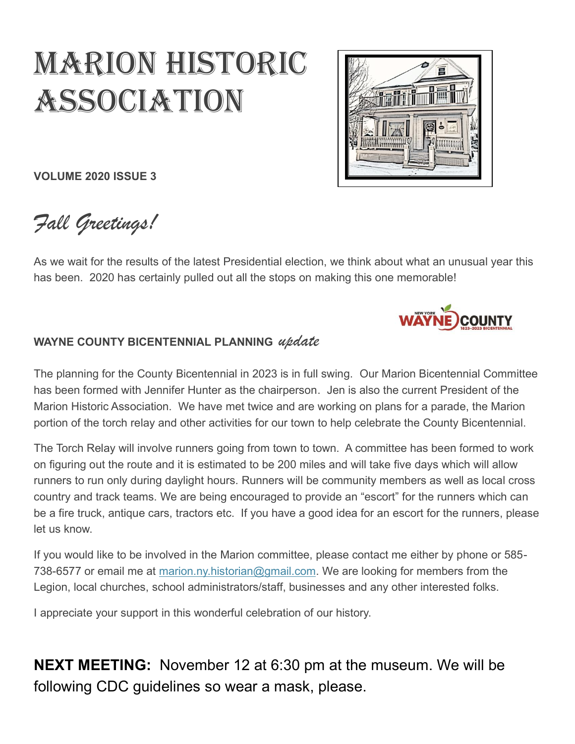# MARION HISTORIC **ASSOCIATION**



**VOLUME 2020 ISSUE 3**

*Fall Greetings!*

As we wait for the results of the latest Presidential election, we think about what an unusual year this has been. 2020 has certainly pulled out all the stops on making this one memorable!



#### **WAYNE COUNTY BICENTENNIAL PLANNING** *update*

The planning for the County Bicentennial in 2023 is in full swing. Our Marion Bicentennial Committee has been formed with Jennifer Hunter as the chairperson. Jen is also the current President of the Marion Historic Association. We have met twice and are working on plans for a parade, the Marion portion of the torch relay and other activities for our town to help celebrate the County Bicentennial.

The Torch Relay will involve runners going from town to town. A committee has been formed to work on figuring out the route and it is estimated to be 200 miles and will take five days which will allow runners to run only during daylight hours. Runners will be community members as well as local cross country and track teams. We are being encouraged to provide an "escort" for the runners which can be a fire truck, antique cars, tractors etc. If you have a good idea for an escort for the runners, please let us know.

If you would like to be involved in the Marion committee, please contact me either by phone or 585- 738-6577 or email me at [marion.ny.historian@gmail.com.](mailto:marion.ny.historian@gmail.com) We are looking for members from the Legion, local churches, school administrators/staff, businesses and any other interested folks.

I appreciate your support in this wonderful celebration of our history.

**NEXT MEETING:** November 12 at 6:30 pm at the museum. We will be following CDC guidelines so wear a mask, please.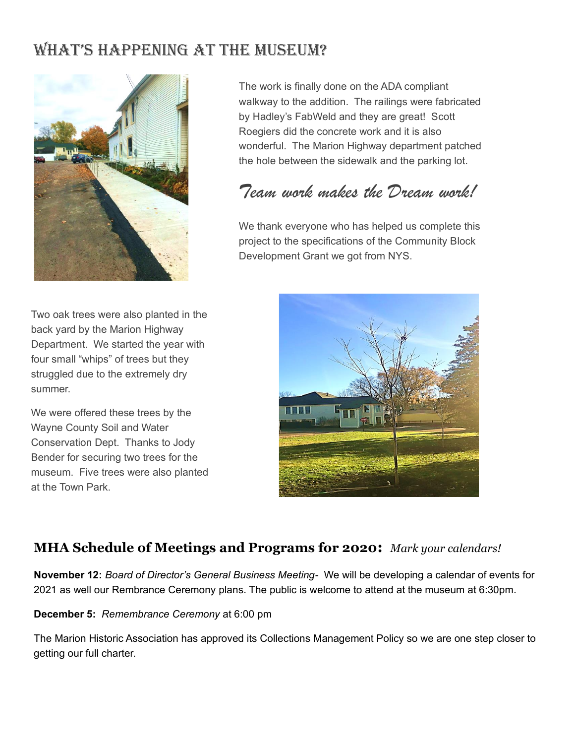#### WHAT'S HAPPENING AT THE MUSEUM?



Two oak trees were also planted in the back yard by the Marion Highway Department. We started the year with four small "whips" of trees but they struggled due to the extremely dry summer.

We were offered these trees by the Wayne County Soil and Water Conservation Dept. Thanks to Jody Bender for securing two trees for the museum. Five trees were also planted at the Town Park.

The work is finally done on the ADA compliant walkway to the addition. The railings were fabricated by Hadley's FabWeld and they are great! Scott Roegiers did the concrete work and it is also wonderful. The Marion Highway department patched the hole between the sidewalk and the parking lot.

# *Team work makes the Dream work!*

We thank everyone who has helped us complete this project to the specifications of the Community Block Development Grant we got from NYS.



#### **MHA Schedule of Meetings and Programs for 2020:** *Mark your calendars!*

**November 12:** *Board of Director's General Business Meeting-* We will be developing a calendar of events for 2021 as well our Rembrance Ceremony plans. The public is welcome to attend at the museum at 6:30pm.

#### **December 5:** *Remembrance Ceremony* at 6:00 pm

The Marion Historic Association has approved its Collections Management Policy so we are one step closer to getting our full charter.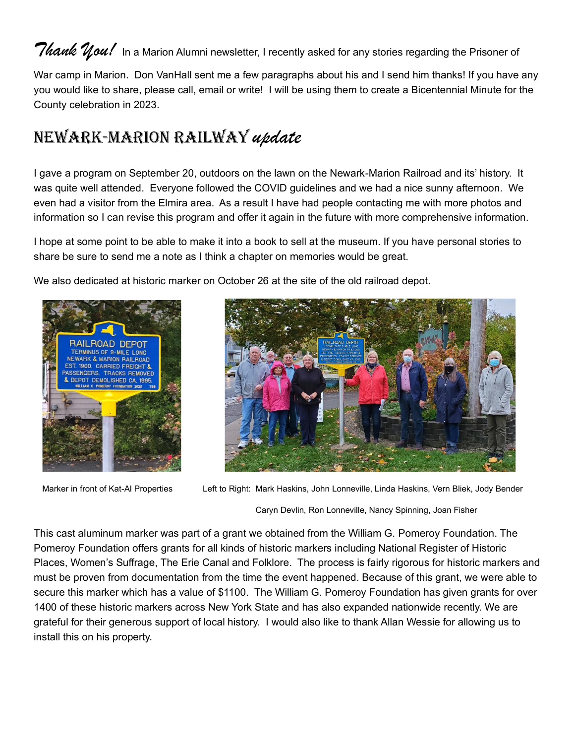## *Thank*  $\mathcal{Y}$ *ou!* In a Marion Alumni newsletter, I recently asked for any stories regarding the Prisoner of

War camp in Marion. Don VanHall sent me a few paragraphs about his and I send him thanks! If you have any you would like to share, please call, email or write! I will be using them to create a Bicentennial Minute for the County celebration in 2023.

# NeWARK-MARION RAILWAY *update*

I gave a program on September 20, outdoors on the lawn on the Newark-Marion Railroad and its' history. It was quite well attended. Everyone followed the COVID guidelines and we had a nice sunny afternoon. We even had a visitor from the Elmira area. As a result I have had people contacting me with more photos and information so I can revise this program and offer it again in the future with more comprehensive information.

I hope at some point to be able to make it into a book to sell at the museum. If you have personal stories to share be sure to send me a note as I think a chapter on memories would be great.

We also dedicated at historic marker on October 26 at the site of the old railroad depot.





Marker in front of Kat-Al Properties Left to Right: Mark Haskins, John Lonneville, Linda Haskins, Vern Bliek, Jody Bender

Caryn Devlin, Ron Lonneville, Nancy Spinning, Joan Fisher

This cast aluminum marker was part of a grant we obtained from the William G. Pomeroy Foundation. The Pomeroy Foundation offers grants for all kinds of historic markers including National Register of Historic Places, Women's Suffrage, The Erie Canal and Folklore. The process is fairly rigorous for historic markers and must be proven from documentation from the time the event happened. Because of this grant, we were able to secure this marker which has a value of \$1100. The William G. Pomeroy Foundation has given grants for over 1400 of these historic markers across New York State and has also expanded nationwide recently. We are grateful for their generous support of local history. I would also like to thank Allan Wessie for allowing us to install this on his property.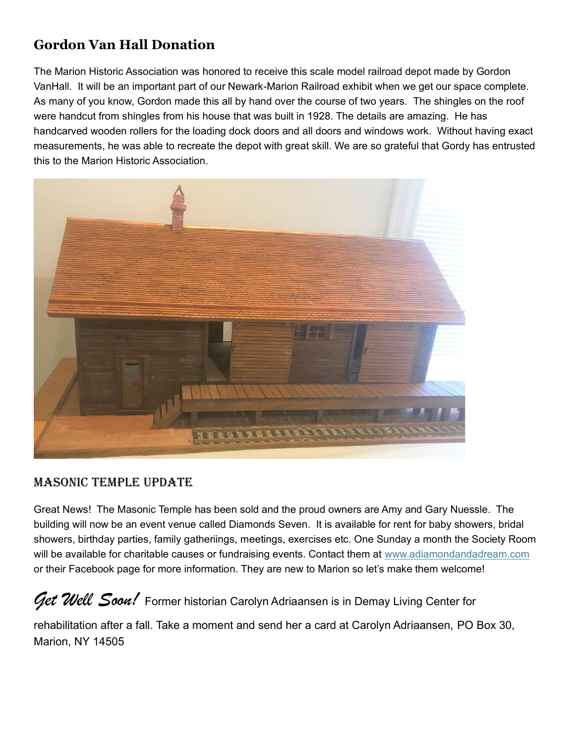#### **Gordon Van Hall Donation**

The Marion Historic Association was honored to receive this scale model railroad depot made by Gordon VanHall. It will be an important part of our Newark-Marion Railroad exhibit when we get our space complete. As many of you know, Gordon made this all by hand over the course of two years. The shingles on the roof were handcut from shingles from his house that was built in 1928. The details are amazing. He has handcarved wooden rollers for the loading dock doors and all doors and windows work. Without having exact measurements, he was able to recreate the depot with great skill. We are so grateful that Gordy has entrusted this to the Marion Historic Association.



#### MASONIC TeMpLe updATe

Great News! The Masonic Temple has been sold and the proud owners are Amy and Gary Nuessle. The building will now be an event venue called Diamonds Seven. It is available for rent for baby showers, bridal showers, birthday parties, family gatheriings, meetings, exercises etc. One Sunday a month the Society Room will be available for charitable causes or fundraising events. Contact them at [www.adiamondandadream.com](http://www.adiamondandadream.com/) or their Facebook page for more information. They are new to Marion so let's make them welcome!

Get Well Soon! Former historian Carolyn Adriaansen is in Demay Living Center for

rehabilitation after a fall. Take a moment and send her a card at Carolyn Adriaansen, PO Box 30, Marion, NY 14505